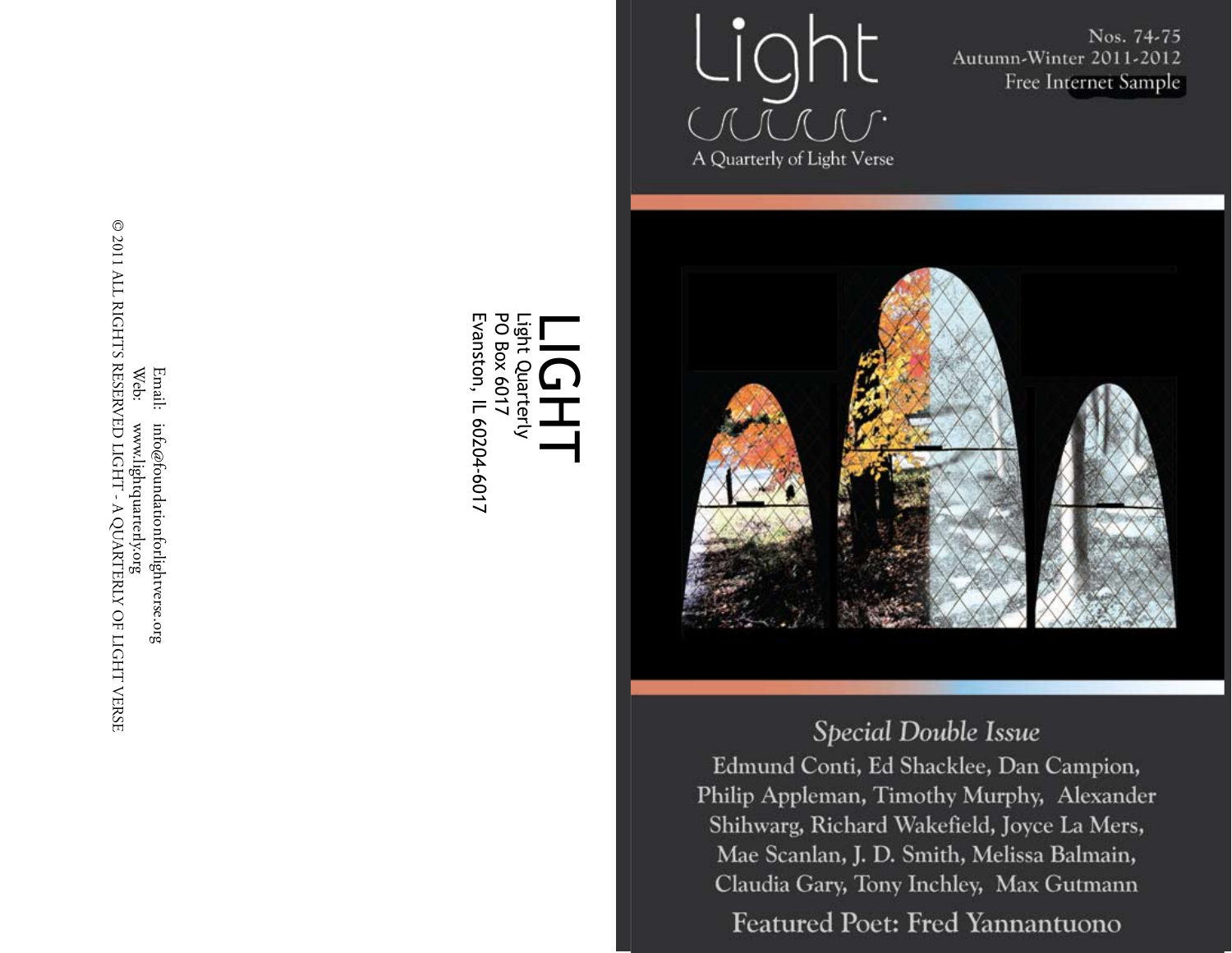Light A Quarterly of Light Verse

Nos. 74-75 Autumn-Winter 2011-2012 Free Internet Sample



# Special Double Issue

Edmund Conti, Ed Shacklee, Dan Campion, Philip Appleman, Timothy Murphy, Alexander Shihwarg, Richard Wakefield, Joyce La Mers, Mae Scanlan, J. D. Smith, Melissa Balmain, Claudia Gary, Tony Inchley, Max Gutmann

**Featured Poet: Fred Yannantuono** 

 $\odot$  2011 ALL RIGHTS RESERVED LIGHT - A QUARTERLY OF LIGHT VERSE © 2011 ALL RIGHTS RESERVED LIGHT - A QUARTERLY OF LIGHT VERSEWeb: Email: Email: info@foundationforlightverse.org www.lightquarterly.org info@foundationforlightverse.org www.lightquarterly.org

Evanston, IL 60204-6017 **PO Box 6017** Light Evanston, IL 60204-6017 PO Box 6017 Light Quarterly LIGHT<br>H Quarterly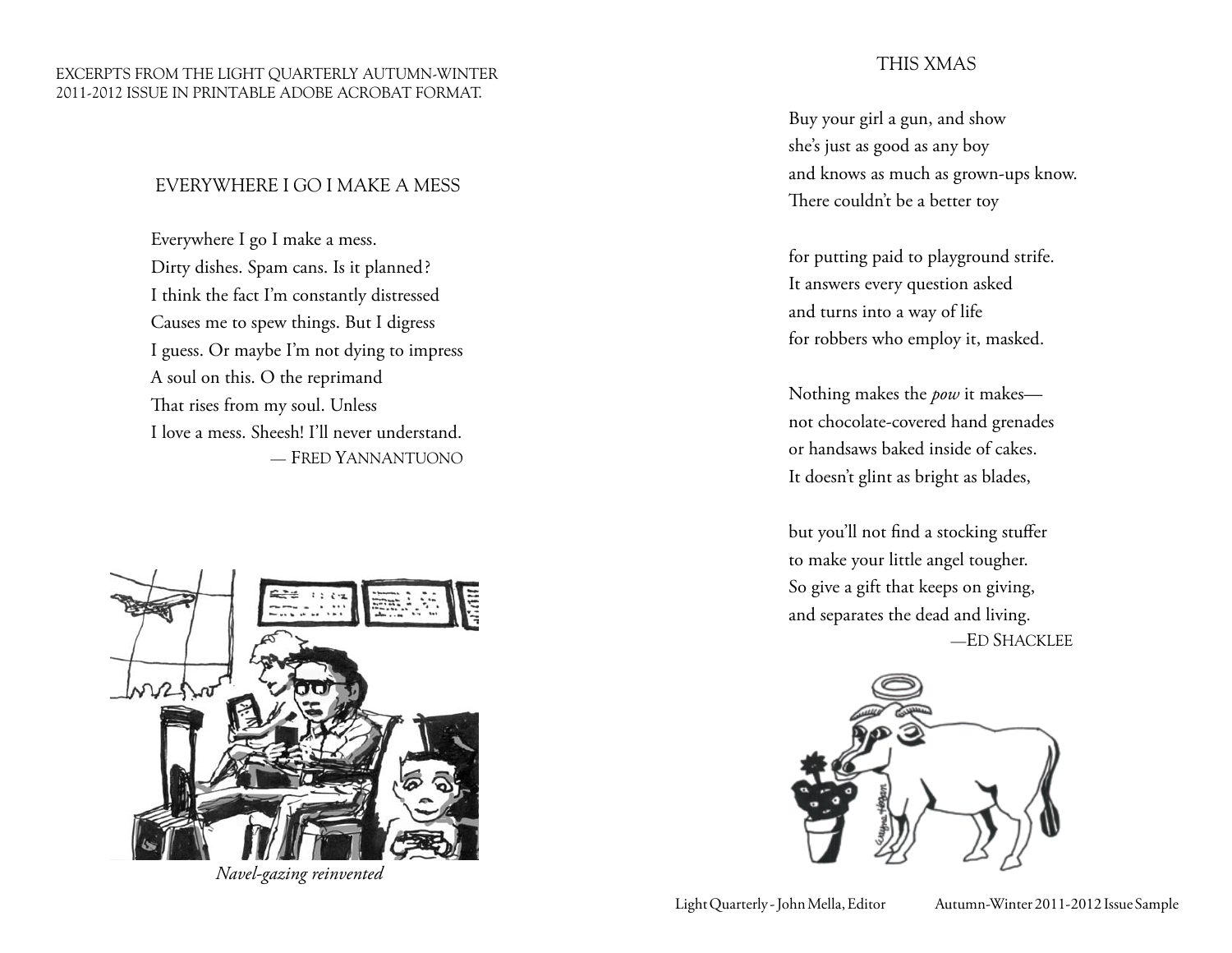#### Excerpts from the LIGHT QUARTERLY Autumn-Winter 2011-2012 issue in printable Adobe Acrobat format.

### EVERYWHERE I GO I MAKE A MESS

Everywhere I go I make a mess. Dirty dishes. Spam cans. Is it planned? I think the fact I'm constantly distressed Causes me to spew things. But I digress I guess. Or maybe I'm not dying to impress A soul on this. O the reprimand That rises from my soul. Unless I love a mess. Sheesh! I'll never understand. — Fred Yannantuono



*Navel-gazing reinvented*

### This Xmas

Buy your girl a gun, and show she's just as good as any boy and knows as much as grown-ups know. There couldn't be a better toy

for putting paid to playground strife. It answers every question asked and turns into a way of life for robbers who employ it, masked.

Nothing makes the *pow* it makes not chocolate-covered hand grenades or handsaws baked inside of cakes. It doesn't glint as bright as blades,

but you'll not find a stocking stuffer to make your little angel tougher. So give a gift that keeps on giving, and separates the dead and living. —Ed Shacklee